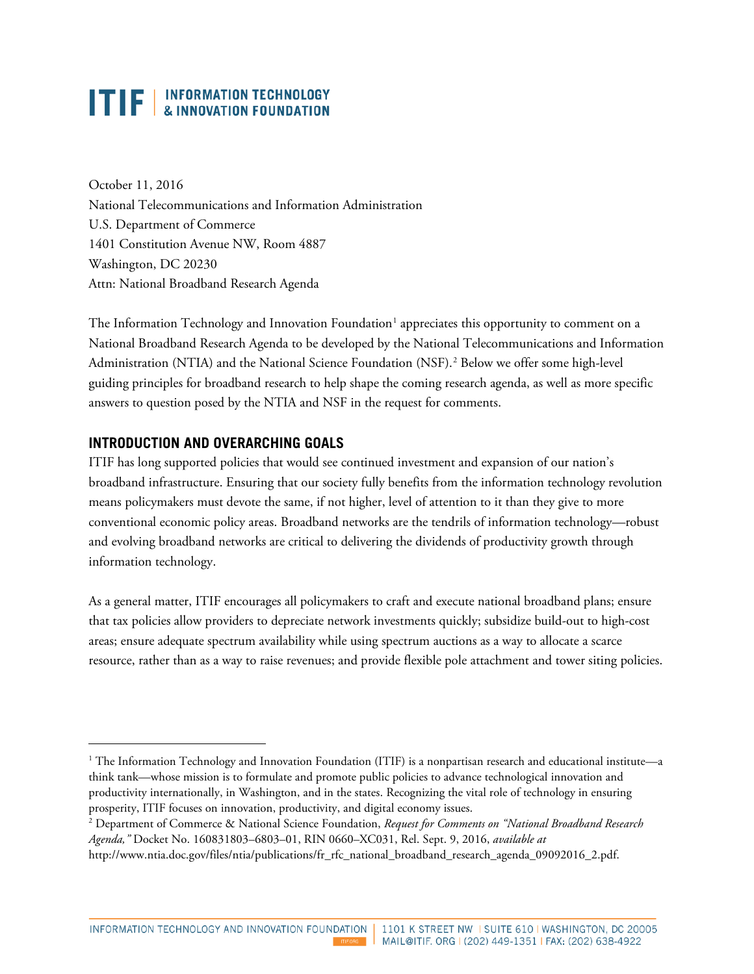October 11, 2016 National Telecommunications and Information Administration U.S. Department of Commerce 1401 Constitution Avenue NW, Room 4887 Washington, DC 20230 Attn: National Broadband Research Agenda

The Information Technology and Innovation Foundation<sup>[1](#page-0-0)</sup> appreciates this opportunity to comment on a National Broadband Research Agenda to be developed by the National Telecommunications and Information Administration (NTIA) and the National Science Foundation (NSF).<sup>[2](#page-0-1)</sup> Below we offer some high-level guiding principles for broadband research to help shape the coming research agenda, as well as more specific answers to question posed by the NTIA and NSF in the request for comments.

### **INTRODUCTION AND OVERARCHING GOALS**

ITIF has long supported policies that would see continued investment and expansion of our nation's broadband infrastructure. Ensuring that our society fully benefits from the information technology revolution means policymakers must devote the same, if not higher, level of attention to it than they give to more conventional economic policy areas. Broadband networks are the tendrils of information technology—robust and evolving broadband networks are critical to delivering the dividends of productivity growth through information technology.

As a general matter, ITIF encourages all policymakers to craft and execute national broadband plans; ensure that tax policies allow providers to depreciate network investments quickly; subsidize build-out to high-cost areas; ensure adequate spectrum availability while using spectrum auctions as a way to allocate a scarce resource, rather than as a way to raise revenues; and provide flexible pole attachment and tower siting policies.

INFORMATION TECHNOLOGY AND INNOVATION FOUNDATION

1

<span id="page-0-0"></span> $1$  The Information Technology and Innovation Foundation (ITIF) is a nonpartisan research and educational institute—a think tank—whose mission is to formulate and promote public policies to advance technological innovation and productivity internationally, in Washington, and in the states. Recognizing the vital role of technology in ensuring prosperity, ITIF focuses on innovation, productivity, and digital economy issues.

<span id="page-0-1"></span><sup>2</sup> Department of Commerce & National Science Foundation, *Request for Comments on "National Broadband Research Agenda,"* Docket No. 160831803–6803–01, RIN 0660–XC031, Rel. Sept. 9, 2016, *available at*  [http://www.ntia.doc.gov/files/ntia/publications/fr\\_rfc\\_national\\_broadband\\_research\\_agenda\\_09092016\\_2.pdf.](http://www.ntia.doc.gov/files/ntia/publications/fr_rfc_national_broadband_research_agenda_09092016_2.pdf)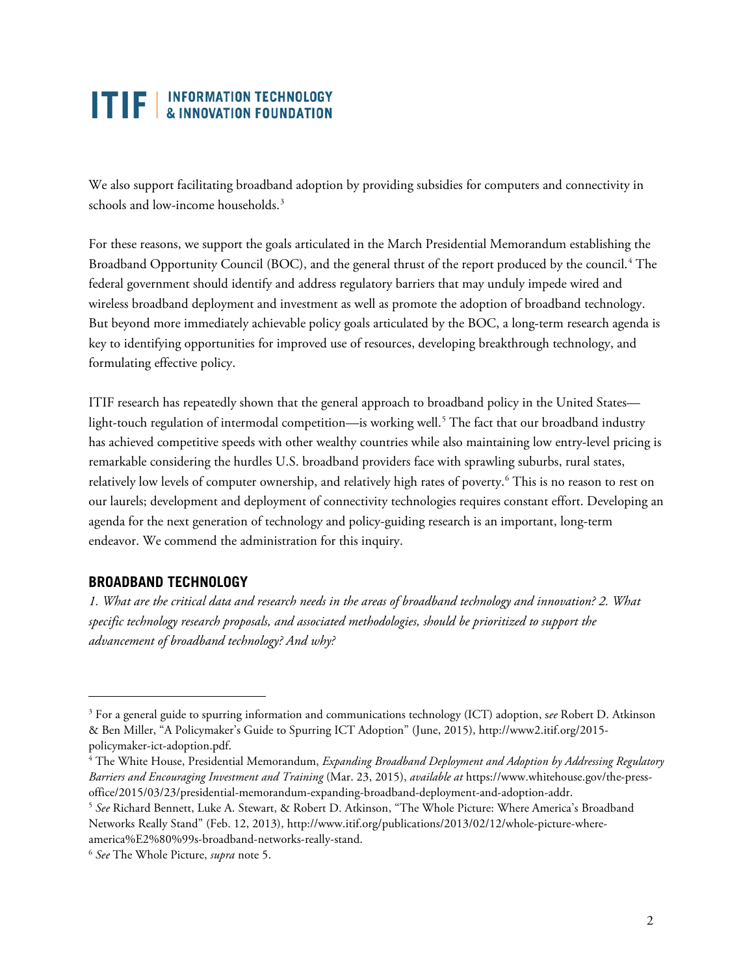We also support facilitating broadband adoption by providing subsidies for computers and connectivity in schools and low-income households.<sup>[3](#page-1-0)</sup>

For these reasons, we support the goals articulated in the March Presidential Memorandum establishing the Broadband Opportunity Council (BOC), and the general thrust of the report produced by the council. [4](#page-1-1) The federal government should identify and address regulatory barriers that may unduly impede wired and wireless broadband deployment and investment as well as promote the adoption of broadband technology. But beyond more immediately achievable policy goals articulated by the BOC, a long-term research agenda is key to identifying opportunities for improved use of resources, developing breakthrough technology, and formulating effective policy.

ITIF research has repeatedly shown that the general approach to broadband policy in the United States— light-touch regulation of intermodal competition—is working well.<sup>[5](#page-1-2)</sup> The fact that our broadband industry has achieved competitive speeds with other wealthy countries while also maintaining low entry-level pricing is remarkable considering the hurdles U.S. broadband providers face with sprawling suburbs, rural states, relatively low levels of computer ownership, and relatively high rates of poverty. [6](#page-1-3) This is no reason to rest on our laurels; development and deployment of connectivity technologies requires constant effort. Developing an agenda for the next generation of technology and policy-guiding research is an important, long-term endeavor. We commend the administration for this inquiry.

### **BROADBAND TECHNOLOGY**

 $\overline{a}$ 

*1. What are the critical data and research needs in the areas of broadband technology and innovation? 2. What specific technology research proposals, and associated methodologies, should be prioritized to support the advancement of broadband technology? And why?*

<span id="page-1-0"></span><sup>3</sup> For a general guide to spurring information and communications technology (ICT) adoption, s*ee* Robert D. Atkinson & Ben Miller, "A Policymaker's Guide to Spurring ICT Adoption" (June, 2015), http://www2.itif.org/2015 policymaker-ict-adoption.pdf.<br><sup>4</sup> The White House, Presidential Memorandum, *Expanding Broadband Deployment and Adoption by Addressing Regulatory* 

<span id="page-1-1"></span>*Barriers and Encouraging Investment and Training* (Mar. 23, 2015), *available at* https://www.whitehouse.gov/the-pressoffice/2015/03/23/presidential-memorandum-expanding-broadband-deployment-and-adoption-addr.

<span id="page-1-2"></span><sup>5</sup> *See* Richard Bennett, Luke A. Stewart, & Robert D. Atkinson, "The Whole Picture: Where America's Broadband Networks Really Stand" (Feb. 12, 2013), http://www.itif.org/publications/2013/02/12/whole-picture-whereamerica%E2%80%99s-broadband-networks-really-stand. 6 *See* The Whole Picture, *supra* note 5.

<span id="page-1-3"></span>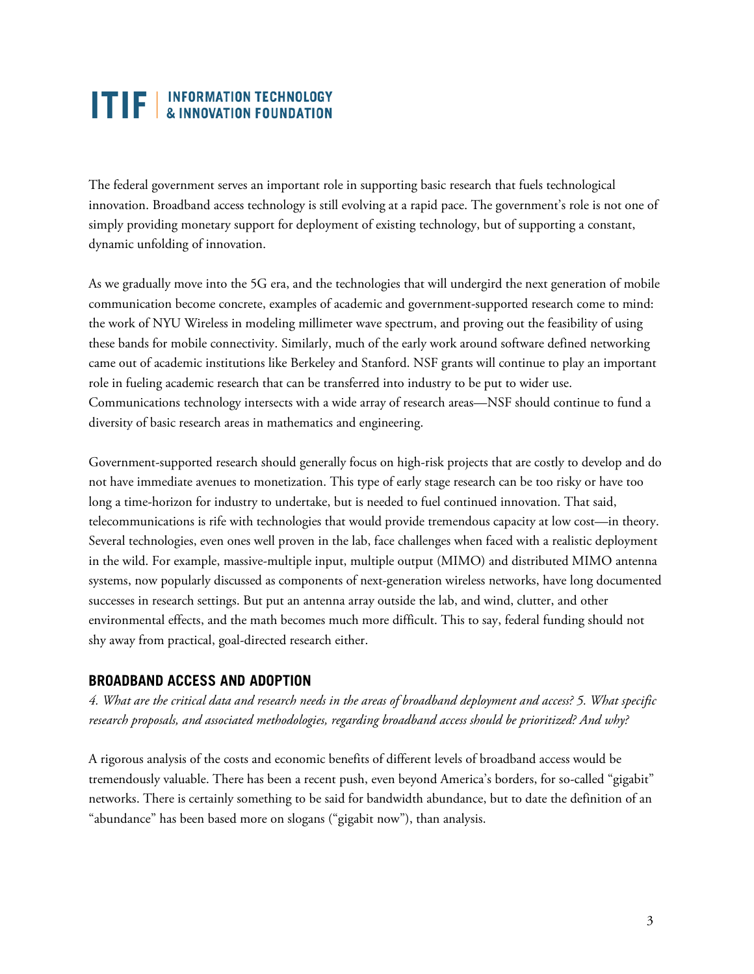The federal government serves an important role in supporting basic research that fuels technological innovation. Broadband access technology is still evolving at a rapid pace. The government's role is not one of simply providing monetary support for deployment of existing technology, but of supporting a constant, dynamic unfolding of innovation.

As we gradually move into the 5G era, and the technologies that will undergird the next generation of mobile communication become concrete, examples of academic and government-supported research come to mind: the work of NYU Wireless in modeling millimeter wave spectrum, and proving out the feasibility of using these bands for mobile connectivity. Similarly, much of the early work around software defined networking came out of academic institutions like Berkeley and Stanford. NSF grants will continue to play an important role in fueling academic research that can be transferred into industry to be put to wider use. Communications technology intersects with a wide array of research areas—NSF should continue to fund a diversity of basic research areas in mathematics and engineering.

Government-supported research should generally focus on high-risk projects that are costly to develop and do not have immediate avenues to monetization. This type of early stage research can be too risky or have too long a time-horizon for industry to undertake, but is needed to fuel continued innovation. That said, telecommunications is rife with technologies that would provide tremendous capacity at low cost—in theory. Several technologies, even ones well proven in the lab, face challenges when faced with a realistic deployment in the wild. For example, massive-multiple input, multiple output (MIMO) and distributed MIMO antenna systems, now popularly discussed as components of next-generation wireless networks, have long documented successes in research settings. But put an antenna array outside the lab, and wind, clutter, and other environmental effects, and the math becomes much more difficult. This to say, federal funding should not shy away from practical, goal-directed research either.

#### **BROADBAND ACCESS AND ADOPTION**

*4. What are the critical data and research needs in the areas of broadband deployment and access? 5. What specific research proposals, and associated methodologies, regarding broadband access should be prioritized? And why?*

A rigorous analysis of the costs and economic benefits of different levels of broadband access would be tremendously valuable. There has been a recent push, even beyond America's borders, for so-called "gigabit" networks. There is certainly something to be said for bandwidth abundance, but to date the definition of an "abundance" has been based more on slogans ("gigabit now"), than analysis.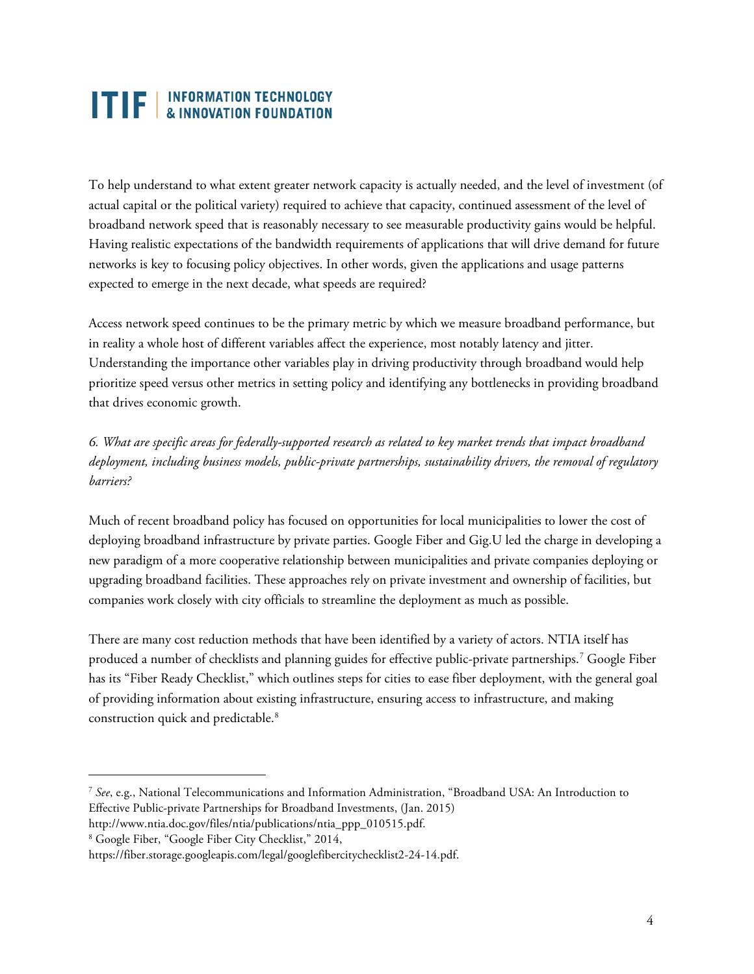To help understand to what extent greater network capacity is actually needed, and the level of investment (of actual capital or the political variety) required to achieve that capacity, continued assessment of the level of broadband network speed that is reasonably necessary to see measurable productivity gains would be helpful. Having realistic expectations of the bandwidth requirements of applications that will drive demand for future networks is key to focusing policy objectives. In other words, given the applications and usage patterns expected to emerge in the next decade, what speeds are required?

Access network speed continues to be the primary metric by which we measure broadband performance, but in reality a whole host of different variables affect the experience, most notably latency and jitter. Understanding the importance other variables play in driving productivity through broadband would help prioritize speed versus other metrics in setting policy and identifying any bottlenecks in providing broadband that drives economic growth.

*6. What are specific areas for federally-supported research as related to key market trends that impact broadband deployment, including business models, public-private partnerships, sustainability drivers, the removal of regulatory barriers?*

Much of recent broadband policy has focused on opportunities for local municipalities to lower the cost of deploying broadband infrastructure by private parties. Google Fiber and Gig.U led the charge in developing a new paradigm of a more cooperative relationship between municipalities and private companies deploying or upgrading broadband facilities. These approaches rely on private investment and ownership of facilities, but companies work closely with city officials to streamline the deployment as much as possible.

There are many cost reduction methods that have been identified by a variety of actors. NTIA itself has produced a number of checklists and planning guides for effective public-private partnerships. [7](#page-3-0) Google Fiber has its "Fiber Ready Checklist," which outlines steps for cities to ease fiber deployment, with the general goal of providing information about existing infrastructure, ensuring access to infrastructure, and making construction quick and predictable.<sup>[8](#page-3-1)</sup>

 $\ddot{\phantom{a}}$ 

<span id="page-3-0"></span><sup>7</sup> *See*, e.g., National Telecommunications and Information Administration, "Broadband USA: An Introduction to Effective Public-private Partnerships for Broadband Investments, (Jan. 2015) [http://www.ntia.doc.gov/files/ntia/publications/ntia\\_ppp\\_010515.pdf.](http://www.ntia.doc.gov/files/ntia/publications/ntia_ppp_010515.pdf)

<span id="page-3-1"></span><sup>8</sup> Google Fiber, "Google Fiber City Checklist," 2014,

https://fiber.storage.googleapis.com/legal/googlefibercitychecklist2-24-14.pdf.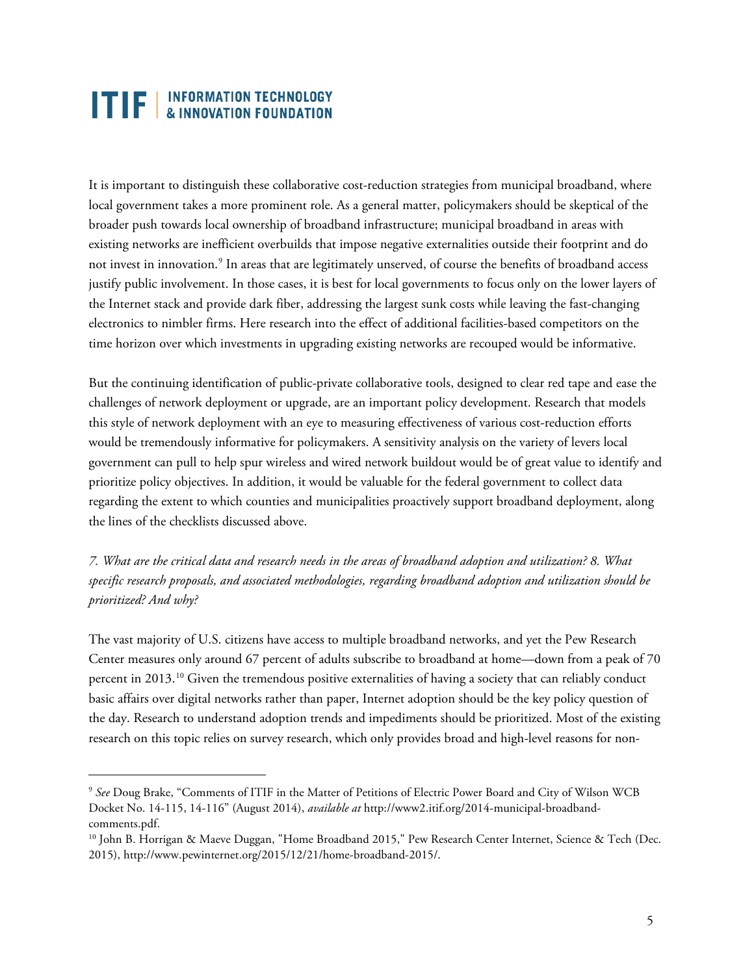$\ddot{\phantom{a}}$ 

It is important to distinguish these collaborative cost-reduction strategies from municipal broadband, where local government takes a more prominent role. As a general matter, policymakers should be skeptical of the broader push towards local ownership of broadband infrastructure; municipal broadband in areas with existing networks are inefficient overbuilds that impose negative externalities outside their footprint and do not invest in innovation[.9](#page-4-0) In areas that are legitimately unserved, of course the benefits of broadband access justify public involvement. In those cases, it is best for local governments to focus only on the lower layers of the Internet stack and provide dark fiber, addressing the largest sunk costs while leaving the fast-changing electronics to nimbler firms. Here research into the effect of additional facilities-based competitors on the time horizon over which investments in upgrading existing networks are recouped would be informative.

But the continuing identification of public-private collaborative tools, designed to clear red tape and ease the challenges of network deployment or upgrade, are an important policy development. Research that models this style of network deployment with an eye to measuring effectiveness of various cost-reduction efforts would be tremendously informative for policymakers. A sensitivity analysis on the variety of levers local government can pull to help spur wireless and wired network buildout would be of great value to identify and prioritize policy objectives. In addition, it would be valuable for the federal government to collect data regarding the extent to which counties and municipalities proactively support broadband deployment, along the lines of the checklists discussed above.

*7. What are the critical data and research needs in the areas of broadband adoption and utilization? 8. What specific research proposals, and associated methodologies, regarding broadband adoption and utilization should be prioritized? And why?*

The vast majority of U.S. citizens have access to multiple broadband networks, and yet the Pew Research Center measures only around 67 percent of adults subscribe to broadband at home—down from a peak of 70 percent in 2013.<sup>[10](#page-4-1)</sup> Given the tremendous positive externalities of having a society that can reliably conduct basic affairs over digital networks rather than paper, Internet adoption should be the key policy question of the day. Research to understand adoption trends and impediments should be prioritized. Most of the existing research on this topic relies on survey research, which only provides broad and high-level reasons for non-

<span id="page-4-0"></span><sup>9</sup> *See* Doug Brake, "Comments of ITIF in the Matter of Petitions of Electric Power Board and City of Wilson WCB Docket No. 14-115, 14-116" (August 2014), *available at* http://www2.itif.org/2014-municipal-broadbandcomments.pdf.<br><sup>10</sup> John B. Horrigan & Maeve Duggan, "Home Broadband 2015," Pew Research Center Internet, Science & Tech (Dec.

<span id="page-4-1"></span><sup>2015),</sup> http://www.pewinternet.org/2015/12/21/home-broadband-2015/.